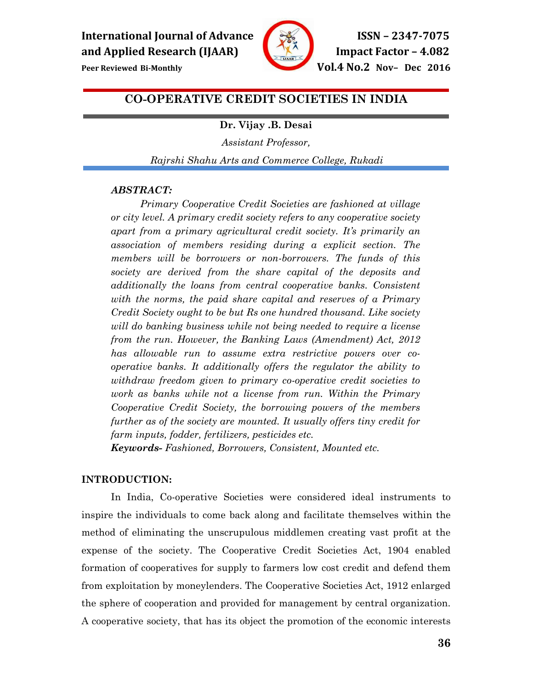

**Peer Reviewed Bi-Monthly <b>Peer Reviewed Bi-Monthly Vol.4 No.2 Nov– Dec 2016** 

# **CO-OPERATIVE CREDIT SOCIETIES IN INDIA**

# **Dr. Vijay .B. Desai**

*Assistant Professor,* 

*Rajrshi Shahu Arts and Commerce College, Rukadi*

# *ABSTRACT:*

*Primary Cooperative Credit Societies are fashioned at village or city level. A primary credit society refers to any cooperative society apart from a primary agricultural credit society. It's primarily an association of members residing during a explicit section. The members will be borrowers or non-borrowers. The funds of this society are derived from the share capital of the deposits and additionally the loans from central cooperative banks. Consistent with the norms, the paid share capital and reserves of a Primary Credit Society ought to be but Rs one hundred thousand. Like society will do banking business while not being needed to require a license from the run. However, the Banking Laws (Amendment) Act, 2012 has allowable run to assume extra restrictive powers over cooperative banks. It additionally offers the regulator the ability to withdraw freedom given to primary co-operative credit societies to work as banks while not a license from run. Within the Primary Cooperative Credit Society, the borrowing powers of the members further as of the society are mounted. It usually offers tiny credit for farm inputs, fodder, fertilizers, pesticides etc.* 

*Keywords- Fashioned, Borrowers, Consistent, Mounted etc.* 

# **INTRODUCTION:**

In India, Co-operative Societies were considered ideal instruments to inspire the individuals to come back along and facilitate themselves within the method of eliminating the unscrupulous middlemen creating vast profit at the expense of the society. The Cooperative Credit Societies Act, 1904 enabled formation of cooperatives for supply to farmers low cost credit and defend them from exploitation by moneylenders. The Cooperative Societies Act, 1912 enlarged the sphere of cooperation and provided for management by central organization. A cooperative society, that has its object the promotion of the economic interests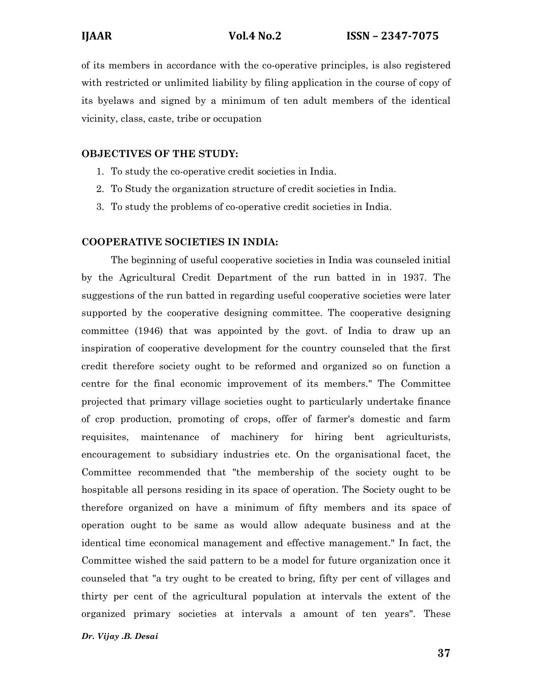of its members in accordance with the co-operative principles, is also registered with restricted or unlimited liability by filing application in the course of copy of its byelaws and signed by a minimum of ten adult members of the identical vicinity, class, caste, tribe or occupation

# **OBJECTIVES OF THE STUDY:**

- 1. To study the co-operative credit societies in India.
- 2. To Study the organization structure of credit societies in India.
- 3. To study the problems of co-operative credit societies in India.

# **COOPERATIVE SOCIETIES IN INDIA:**

The beginning of useful cooperative societies in India was counseled initial by the Agricultural Credit Department of the run batted in in 1937. The suggestions of the run batted in regarding useful cooperative societies were later supported by the cooperative designing committee. The cooperative designing committee (1946) that was appointed by the govt. of India to draw up an inspiration of cooperative development for the country counseled that the first credit therefore society ought to be reformed and organized so on function a centre for the final economic improvement of its members." The Committee projected that primary village societies ought to particularly undertake finance of crop production, promoting of crops, offer of farmer's domestic and farm requisites, maintenance of machinery for hiring bent agriculturists, encouragement to subsidiary industries etc. On the organisational facet, the Committee recommended that "the membership of the society ought to be hospitable all persons residing in its space of operation. The Society ought to be therefore organized on have a minimum of fifty members and its space of operation ought to be same as would allow adequate business and at the identical time economical management and effective management." In fact, the Committee wished the said pattern to be a model for future organization once it counseled that "a try ought to be created to bring, fifty per cent of villages and thirty per cent of the agricultural population at intervals the extent of the organized primary societies at intervals a amount of ten years". These

## *Dr. Vijay .B. Desai*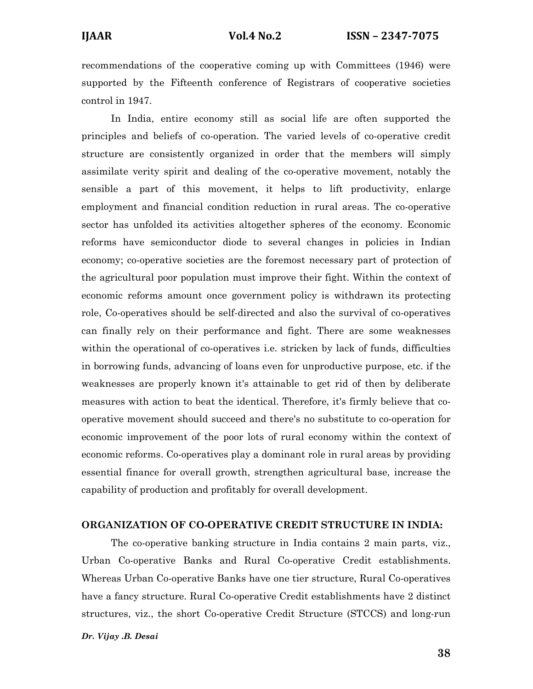recommendations of the cooperative coming up with Committees (1946) were supported by the Fifteenth conference of Registrars of cooperative societies control in 1947.

In India, entire economy still as social life are often supported the principles and beliefs of co-operation. The varied levels of co-operative credit structure are consistently organized in order that the members will simply assimilate verity spirit and dealing of the co-operative movement, notably the sensible a part of this movement, it helps to lift productivity, enlarge employment and financial condition reduction in rural areas. The co-operative sector has unfolded its activities altogether spheres of the economy. Economic reforms have semiconductor diode to several changes in policies in Indian economy; co-operative societies are the foremost necessary part of protection of the agricultural poor population must improve their fight. Within the context of economic reforms amount once government policy is withdrawn its protecting role, Co-operatives should be self-directed and also the survival of co-operatives can finally rely on their performance and fight. There are some weaknesses within the operational of co-operatives i.e. stricken by lack of funds, difficulties in borrowing funds, advancing of loans even for unproductive purpose, etc. if the weaknesses are properly known it's attainable to get rid of then by deliberate measures with action to beat the identical. Therefore, it's firmly believe that cooperative movement should succeed and there's no substitute to co-operation for economic improvement of the poor lots of rural economy within the context of economic reforms. Co-operatives play a dominant role in rural areas by providing essential finance for overall growth, strengthen agricultural base, increase the capability of production and profitably for overall development.

#### **ORGANIZATION OF CO-OPERATIVE CREDIT STRUCTURE IN INDIA:**

The co-operative banking structure in India contains 2 main parts, viz., Urban Co-operative Banks and Rural Co-operative Credit establishments. Whereas Urban Co-operative Banks have one tier structure, Rural Co-operatives have a fancy structure. Rural Co-operative Credit establishments have 2 distinct structures, viz., the short Co-operative Credit Structure (STCCS) and long-run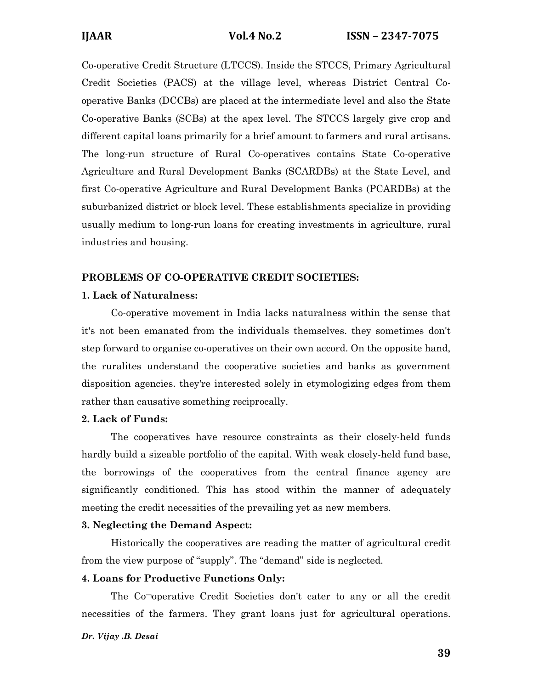Co-operative Credit Structure (LTCCS). Inside the STCCS, Primary Agricultural Credit Societies (PACS) at the village level, whereas District Central Cooperative Banks (DCCBs) are placed at the intermediate level and also the State Co-operative Banks (SCBs) at the apex level. The STCCS largely give crop and different capital loans primarily for a brief amount to farmers and rural artisans. The long-run structure of Rural Co-operatives contains State Co-operative Agriculture and Rural Development Banks (SCARDBs) at the State Level, and first Co-operative Agriculture and Rural Development Banks (PCARDBs) at the suburbanized district or block level. These establishments specialize in providing usually medium to long-run loans for creating investments in agriculture, rural industries and housing.

# **PROBLEMS OF CO-OPERATIVE CREDIT SOCIETIES:**

### **1. Lack of Naturalness:**

Co-operative movement in India lacks naturalness within the sense that it's not been emanated from the individuals themselves. they sometimes don't step forward to organise co-operatives on their own accord. On the opposite hand, the ruralites understand the cooperative societies and banks as government disposition agencies. they're interested solely in etymologizing edges from them rather than causative something reciprocally.

# **2. Lack of Funds:**

The cooperatives have resource constraints as their closely-held funds hardly build a sizeable portfolio of the capital. With weak closely-held fund base, the borrowings of the cooperatives from the central finance agency are significantly conditioned. This has stood within the manner of adequately meeting the credit necessities of the prevailing yet as new members.

#### **3. Neglecting the Demand Aspect:**

Historically the cooperatives are reading the matter of agricultural credit from the view purpose of "supply". The "demand" side is neglected.

# **4. Loans for Productive Functions Only:**

The Co¬operative Credit Societies don't cater to any or all the credit necessities of the farmers. They grant loans just for agricultural operations.

#### *Dr. Vijay .B. Desai*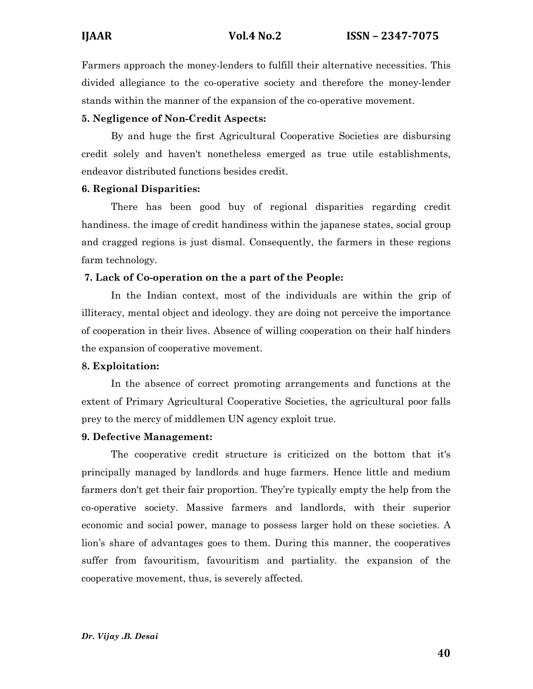Farmers approach the money-lenders to fulfill their alternative necessities. This divided allegiance to the co-operative society and therefore the money-lender stands within the manner of the expansion of the co-operative movement.

# **5. Negligence of Non-Credit Aspects:**

By and huge the first Agricultural Cooperative Societies are disbursing credit solely and haven't nonetheless emerged as true utile establishments, endeavor distributed functions besides credit.

# **6. Regional Disparities:**

There has been good buy of regional disparities regarding credit handiness. the image of credit handiness within the japanese states, social group and cragged regions is just dismal. Consequently, the farmers in these regions farm technology.

# **7. Lack of Co-operation on the a part of the People:**

In the Indian context, most of the individuals are within the grip of illiteracy, mental object and ideology. they are doing not perceive the importance of cooperation in their lives. Absence of willing cooperation on their half hinders the expansion of cooperative movement.

# **8. Exploitation:**

In the absence of correct promoting arrangements and functions at the extent of Primary Agricultural Cooperative Societies, the agricultural poor falls prey to the mercy of middlemen UN agency exploit true.

# **9. Defective Management:**

The cooperative credit structure is criticized on the bottom that it's principally managed by landlords and huge farmers. Hence little and medium farmers don't get their fair proportion. They're typically empty the help from the co-operative society. Massive farmers and landlords, with their superior economic and social power, manage to possess larger hold on these societies. A lion's share of advantages goes to them. During this manner, the cooperatives suffer from favouritism, favouritism and partiality. the expansion of the cooperative movement, thus, is severely affected.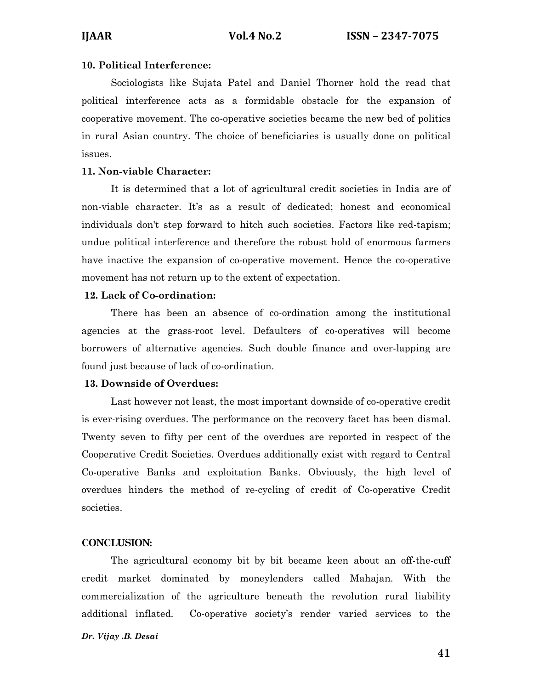# **10. Political Interference:**

Sociologists like Sujata Patel and Daniel Thorner hold the read that political interference acts as a formidable obstacle for the expansion of cooperative movement. The co-operative societies became the new bed of politics in rural Asian country. The choice of beneficiaries is usually done on political issues.

# **11. Non-viable Character:**

It is determined that a lot of agricultural credit societies in India are of non-viable character. It's as a result of dedicated; honest and economical individuals don't step forward to hitch such societies. Factors like red-tapism; undue political interference and therefore the robust hold of enormous farmers have inactive the expansion of co-operative movement. Hence the co-operative movement has not return up to the extent of expectation.

# **12. Lack of Co-ordination:**

There has been an absence of co-ordination among the institutional agencies at the grass-root level. Defaulters of co-operatives will become borrowers of alternative agencies. Such double finance and over-lapping are found just because of lack of co-ordination.

# **13. Downside of Overdues:**

Last however not least, the most important downside of co-operative credit is ever-rising overdues. The performance on the recovery facet has been dismal. Twenty seven to fifty per cent of the overdues are reported in respect of the Cooperative Credit Societies. Overdues additionally exist with regard to Central Co-operative Banks and exploitation Banks. Obviously, the high level of overdues hinders the method of re-cycling of credit of Co-operative Credit societies.

# **CONCLUSION:**

The agricultural economy bit by bit became keen about an off-the-cuff credit market dominated by moneylenders called Mahajan. With the commercialization of the agriculture beneath the revolution rural liability additional inflated. Co-operative society's render varied services to the

#### *Dr. Vijay .B. Desai*